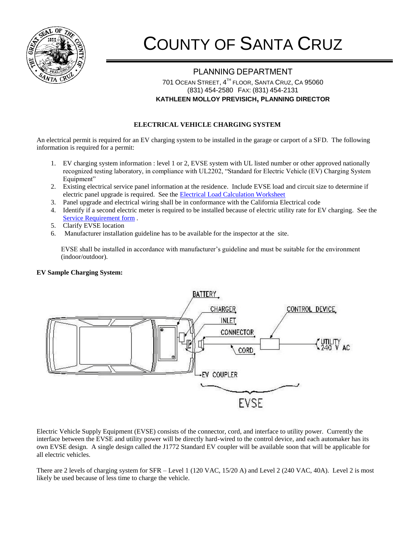

## COUNTY OF SANTA CRUZ

## PLANNING DEPARTMENT 701 OCEAN STREET, 4<sup>th</sup> FLOOR, SANTA CRUZ, CA 95060 (831) 454-2580 FAX: (831) 454-2131 **KATHLEEN MOLLOY PREVISICH, PLANNING DIRECTOR**

## **ELECTRICAL VEHICLE CHARGING SYSTEM**

An electrical permit is required for an EV charging system to be installed in the garage or carport of a SFD. The following information is required for a permit:

- 1. EV charging system information : level 1 or 2, EVSE system with UL listed number or other approved nationally recognized testing laboratory, in compliance with UL2202, "Standard for Electric Vehicle (EV) Charging System Equipment"
- 2. Existing electrical service panel information at the residence. Include EVSE load and circuit size to determine if electric panel upgrade is required. See the [Electrical Load Calculation Worksheet](file://Scznas04/pln/Shared/Website/Building%20&%20Safety/Alternative%20Energy/Standard%20Method%20for%20Dwelling%20Service%20Calculations.docx)
- 3. Panel upgrade and electrical wiring shall be in conformance with the California Electrical code
- 4. Identify if a second electric meter is required to be installed because of electric utility rate for EV charging. See the [Service Requirement form](file://Scznas04/pln/Shared/Website/Building%20&%20Safety/Alternative%20Energy/EV%20Charging%20System%20Service%20Requirement.docx) .
- 5. Clarify EVSE location
- 6. Manufacturer installation guideline has to be available for the inspector at the site.

EVSE shall be installed in accordance with manufacturer's guideline and must be suitable for the environment (indoor/outdoor).

## **EV Sample Charging System:**



Electric Vehicle Supply Equipment (EVSE) consists of the connector, cord, and interface to utility power. Currently the interface between the EVSE and utility power will be directly hard-wired to the control device, and each automaker has its own EVSE design. A single design called the J1772 Standard EV coupler will be available soon that will be applicable for all electric vehicles.

There are 2 levels of charging system for SFR – Level 1 (120 VAC, 15/20 A) and Level 2 (240 VAC, 40A). Level 2 is most likely be used because of less time to charge the vehicle.